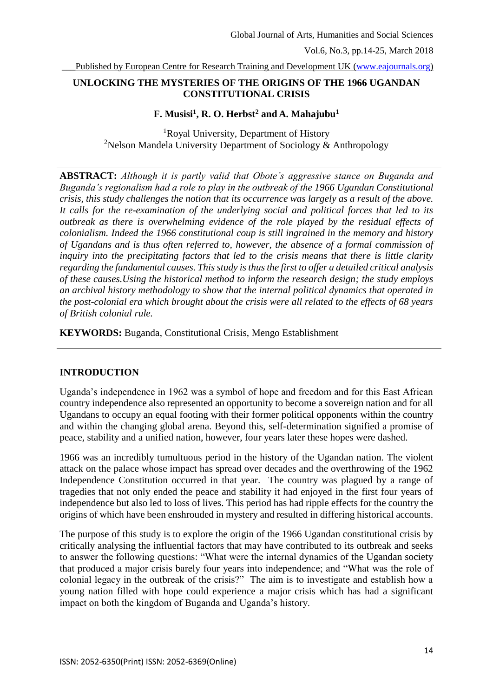Published by European Centre for Research Training and Development UK [\(www.eajournals.org\)](http://www.eajournals.org/)

# **UNLOCKING THE MYSTERIES OF THE ORIGINS OF THE 1966 UGANDAN CONSTITUTIONAL CRISIS**

## **F. Musisi<sup>1</sup> , R. O. Herbst<sup>2</sup> and A. Mahajubu<sup>1</sup>**

<sup>1</sup>Royal University, Department of History <sup>2</sup>Nelson Mandela University Department of Sociology  $\&$  Anthropology

**ABSTRACT:** *Although it is partly valid that Obote's aggressive stance on Buganda and Buganda's regionalism had a role to play in the outbreak of the 1966 Ugandan Constitutional crisis, this study challenges the notion that its occurrence was largely as a result of the above. It calls for the re-examination of the underlying social and political forces that led to its outbreak as there is overwhelming evidence of the role played by the residual effects of colonialism. Indeed the 1966 constitutional coup is still ingrained in the memory and history of Ugandans and is thus often referred to, however, the absence of a formal commission of inquiry into the precipitating factors that led to the crisis means that there is little clarity regarding the fundamental causes. This study is thus the first to offer a detailed critical analysis of these causes.Using the historical method to inform the research design; the study employs an archival history methodology to show that the internal political dynamics that operated in the post-colonial era which brought about the crisis were all related to the effects of 68 years of British colonial rule.*

**KEYWORDS:** Buganda, Constitutional Crisis, Mengo Establishment

### **INTRODUCTION**

Uganda's independence in 1962 was a symbol of hope and freedom and for this East African country independence also represented an opportunity to become a sovereign nation and for all Ugandans to occupy an equal footing with their former political opponents within the country and within the changing global arena. Beyond this, self-determination signified a promise of peace, stability and a unified nation, however, four years later these hopes were dashed.

1966 was an incredibly tumultuous period in the history of the Ugandan nation. The violent attack on the palace whose impact has spread over decades and the overthrowing of the 1962 Independence Constitution occurred in that year. The country was plagued by a range of tragedies that not only ended the peace and stability it had enjoyed in the first four years of independence but also led to loss of lives. This period has had ripple effects for the country the origins of which have been enshrouded in mystery and resulted in differing historical accounts.

The purpose of this study is to explore the origin of the 1966 Ugandan constitutional crisis by critically analysing the influential factors that may have contributed to its outbreak and seeks to answer the following questions: "What were the internal dynamics of the Ugandan society that produced a major crisis barely four years into independence; and "What was the role of colonial legacy in the outbreak of the crisis?" The aim is to investigate and establish how a young nation filled with hope could experience a major crisis which has had a significant impact on both the kingdom of Buganda and Uganda's history.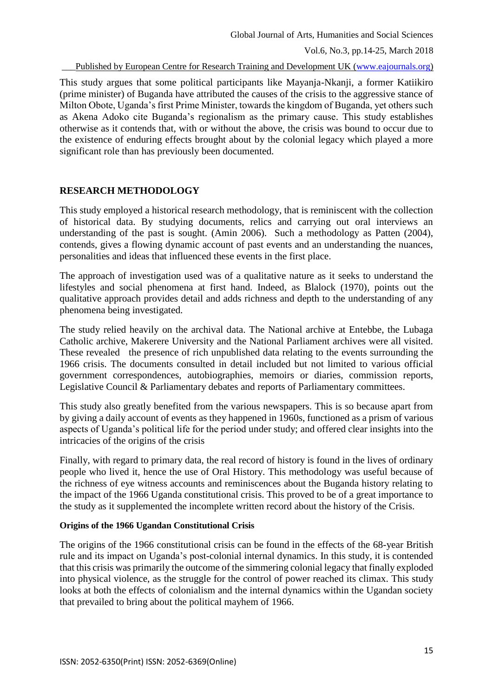Published by European Centre for Research Training and Development UK [\(www.eajournals.org\)](http://www.eajournals.org/)

This study argues that some political participants like Mayanja-Nkanji, a former Katiikiro (prime minister) of Buganda have attributed the causes of the crisis to the aggressive stance of Milton Obote, Uganda's first Prime Minister, towards the kingdom of Buganda, yet others such as Akena Adoko cite Buganda's regionalism as the primary cause. This study establishes otherwise as it contends that, with or without the above, the crisis was bound to occur due to the existence of enduring effects brought about by the colonial legacy which played a more significant role than has previously been documented.

# **RESEARCH METHODOLOGY**

This study employed a historical research methodology, that is reminiscent with the collection of historical data. By studying documents, relics and carrying out oral interviews an understanding of the past is sought. (Amin 2006). Such a methodology as Patten (2004), contends, gives a flowing dynamic account of past events and an understanding the nuances, personalities and ideas that influenced these events in the first place.

The approach of investigation used was of a qualitative nature as it seeks to understand the lifestyles and social phenomena at first hand. Indeed, as Blalock (1970), points out the qualitative approach provides detail and adds richness and depth to the understanding of any phenomena being investigated.

The study relied heavily on the archival data. The National archive at Entebbe, the Lubaga Catholic archive, Makerere University and the National Parliament archives were all visited. These revealed the presence of rich unpublished data relating to the events surrounding the 1966 crisis. The documents consulted in detail included but not limited to various official government correspondences, autobiographies, memoirs or diaries, commission reports, Legislative Council & Parliamentary debates and reports of Parliamentary committees.

This study also greatly benefited from the various newspapers. This is so because apart from by giving a daily account of events as they happened in 1960s, functioned as a prism of various aspects of Uganda's political life for the period under study; and offered clear insights into the intricacies of the origins of the crisis

Finally, with regard to primary data, the real record of history is found in the lives of ordinary people who lived it, hence the use of Oral History. This methodology was useful because of the richness of eye witness accounts and reminiscences about the Buganda history relating to the impact of the 1966 Uganda constitutional crisis. This proved to be of a great importance to the study as it supplemented the incomplete written record about the history of the Crisis.

#### **Origins of the 1966 Ugandan Constitutional Crisis**

The origins of the 1966 constitutional crisis can be found in the effects of the 68-year British rule and its impact on Uganda's post-colonial internal dynamics. In this study, it is contended that this crisis was primarily the outcome of the simmering colonial legacy that finally exploded into physical violence, as the struggle for the control of power reached its climax. This study looks at both the effects of colonialism and the internal dynamics within the Ugandan society that prevailed to bring about the political mayhem of 1966.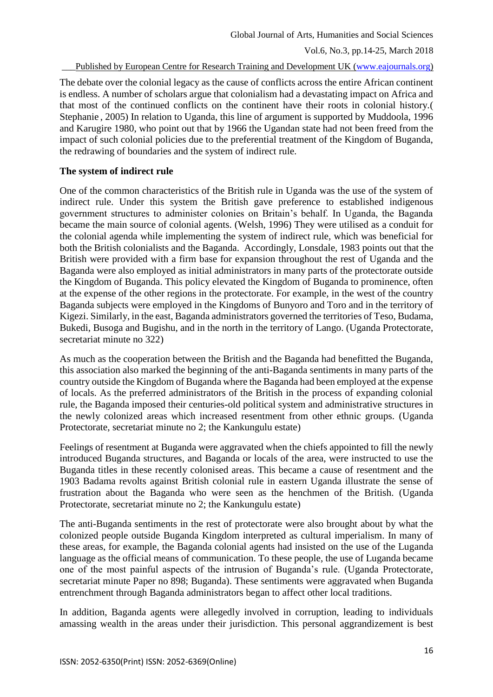The debate over the colonial legacy as the cause of conflicts across the entire African continent is endless. A number of scholars argue that colonialism had a devastating impact on Africa and that most of the continued conflicts on the continent have their roots in colonial history.( Stephanie , 2005) In relation to Uganda, this line of argument is supported by Muddoola, 1996 and Karugire 1980, who point out that by 1966 the Ugandan state had not been freed from the impact of such colonial policies due to the preferential treatment of the Kingdom of Buganda, the redrawing of boundaries and the system of indirect rule.

# **The system of indirect rule**

One of the common characteristics of the British rule in Uganda was the use of the system of indirect rule. Under this system the British gave preference to established indigenous government structures to administer colonies on Britain's behalf. In Uganda, the Baganda became the main source of colonial agents. (Welsh, 1996) They were utilised as a conduit for the colonial agenda while implementing the system of indirect rule, which was beneficial for both the British colonialists and the Baganda. Accordingly, Lonsdale, 1983 points out that the British were provided with a firm base for expansion throughout the rest of Uganda and the Baganda were also employed as initial administrators in many parts of the protectorate outside the Kingdom of Buganda. This policy elevated the Kingdom of Buganda to prominence, often at the expense of the other regions in the protectorate. For example, in the west of the country Baganda subjects were employed in the Kingdoms of Bunyoro and Toro and in the territory of Kigezi. Similarly, in the east, Baganda administrators governed the territories of Teso, Budama, Bukedi, Busoga and Bugishu, and in the north in the territory of Lango. (Uganda Protectorate, secretariat minute no 322)

As much as the cooperation between the British and the Baganda had benefitted the Buganda, this association also marked the beginning of the anti-Baganda sentiments in many parts of the country outside the Kingdom of Buganda where the Baganda had been employed at the expense of locals. As the preferred administrators of the British in the process of expanding colonial rule, the Baganda imposed their centuries-old political system and administrative structures in the newly colonized areas which increased resentment from other ethnic groups. (Uganda Protectorate, secretariat minute no 2; the Kankungulu estate)

Feelings of resentment at Buganda were aggravated when the chiefs appointed to fill the newly introduced Buganda structures, and Baganda or locals of the area, were instructed to use the Buganda titles in these recently colonised areas. This became a cause of resentment and the 1903 Badama revolts against British colonial rule in eastern Uganda illustrate the sense of frustration about the Baganda who were seen as the henchmen of the British. (Uganda Protectorate, secretariat minute no 2; the Kankungulu estate)

The anti-Buganda sentiments in the rest of protectorate were also brought about by what the colonized people outside Buganda Kingdom interpreted as cultural imperialism. In many of these areas, for example, the Baganda colonial agents had insisted on the use of the Luganda language as the official means of communication. To these people, the use of Luganda became one of the most painful aspects of the intrusion of Buganda's rule. (Uganda Protectorate, secretariat minute Paper no 898; Buganda). These sentiments were aggravated when Buganda entrenchment through Baganda administrators began to affect other local traditions.

In addition, Baganda agents were allegedly involved in corruption, leading to individuals amassing wealth in the areas under their jurisdiction. This personal aggrandizement is best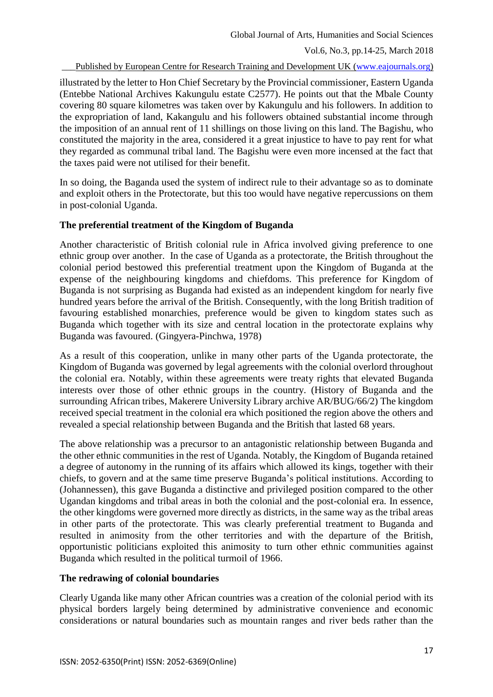Published by European Centre for Research Training and Development UK [\(www.eajournals.org\)](http://www.eajournals.org/)

illustrated by the letter to Hon Chief Secretary by the Provincial commissioner, Eastern Uganda (Entebbe National Archives Kakungulu estate C2577). He points out that the Mbale County covering 80 square kilometres was taken over by Kakungulu and his followers. In addition to the expropriation of land, Kakangulu and his followers obtained substantial income through the imposition of an annual rent of 11 shillings on those living on this land. The Bagishu, who constituted the majority in the area, considered it a great injustice to have to pay rent for what they regarded as communal tribal land. The Bagishu were even more incensed at the fact that the taxes paid were not utilised for their benefit.

In so doing, the Baganda used the system of indirect rule to their advantage so as to dominate and exploit others in the Protectorate, but this too would have negative repercussions on them in post-colonial Uganda.

# **The preferential treatment of the Kingdom of Buganda**

Another characteristic of British colonial rule in Africa involved giving preference to one ethnic group over another. In the case of Uganda as a protectorate, the British throughout the colonial period bestowed this preferential treatment upon the Kingdom of Buganda at the expense of the neighbouring kingdoms and chiefdoms. This preference for Kingdom of Buganda is not surprising as Buganda had existed as an independent kingdom for nearly five hundred years before the arrival of the British. Consequently, with the long British tradition of favouring established monarchies, preference would be given to kingdom states such as Buganda which together with its size and central location in the protectorate explains why Buganda was favoured. (Gingyera-Pinchwa, 1978)

As a result of this cooperation, unlike in many other parts of the Uganda protectorate, the Kingdom of Buganda was governed by legal agreements with the colonial overlord throughout the colonial era. Notably, within these agreements were treaty rights that elevated Buganda interests over those of other ethnic groups in the country. (History of Buganda and the surrounding African tribes, Makerere University Library archive AR/BUG/66/2) The kingdom received special treatment in the colonial era which positioned the region above the others and revealed a special relationship between Buganda and the British that lasted 68 years.

The above relationship was a precursor to an antagonistic relationship between Buganda and the other ethnic communities in the rest of Uganda*.* Notably, the Kingdom of Buganda retained a degree of autonomy in the running of its affairs which allowed its kings, together with their chiefs, to govern and at the same time preserve Buganda's political institutions. According to (Johannessen), this gave Buganda a distinctive and privileged position compared to the other Ugandan kingdoms and tribal areas in both the colonial and the post-colonial era. In essence, the other kingdoms were governed more directly as districts, in the same way as the tribal areas in other parts of the protectorate. This was clearly preferential treatment to Buganda and resulted in animosity from the other territories and with the departure of the British, opportunistic politicians exploited this animosity to turn other ethnic communities against Buganda which resulted in the political turmoil of 1966.

# **The redrawing of colonial boundaries**

Clearly Uganda like many other African countries was a creation of the colonial period with its physical borders largely being determined by administrative convenience and economic considerations or natural boundaries such as mountain ranges and river beds rather than the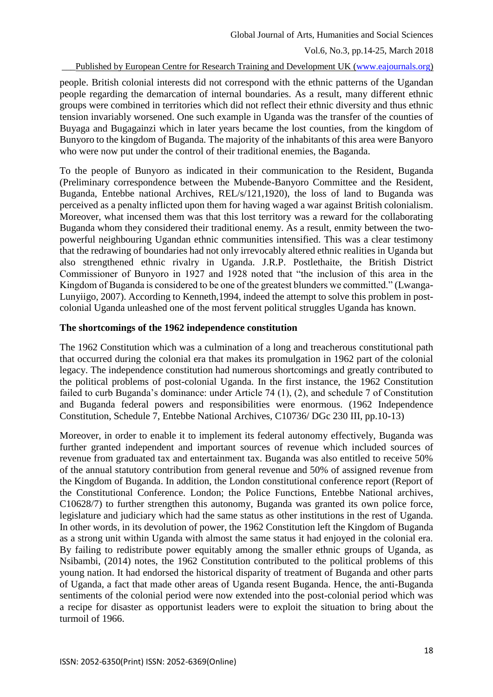### Published by European Centre for Research Training and Development UK [\(www.eajournals.org\)](http://www.eajournals.org/)

people. British colonial interests did not correspond with the ethnic patterns of the Ugandan people regarding the demarcation of internal boundaries. As a result, many different ethnic groups were combined in territories which did not reflect their ethnic diversity and thus ethnic tension invariably worsened. One such example in Uganda was the transfer of the counties of Buyaga and Bugagainzi which in later years became the lost counties, from the kingdom of Bunyoro to the kingdom of Buganda. The majority of the inhabitants of this area were Banyoro who were now put under the control of their traditional enemies, the Baganda.

To the people of Bunyoro as indicated in their communication to the Resident, Buganda (Preliminary correspondence between the Mubende-Banyoro Committee and the Resident, Buganda, Entebbe national Archives, REL/s/121,1920), the loss of land to Buganda was perceived as a penalty inflicted upon them for having waged a war against British colonialism. Moreover, what incensed them was that this lost territory was a reward for the collaborating Buganda whom they considered their traditional enemy. As a result, enmity between the twopowerful neighbouring Ugandan ethnic communities intensified. This was a clear testimony that the redrawing of boundaries had not only irrevocably altered ethnic realities in Uganda but also strengthened ethnic rivalry in Uganda. J.R.P. Postlethaite, the British District Commissioner of Bunyoro in 1927 and 1928 noted that "the inclusion of this area in the Kingdom of Buganda is considered to be one of the greatest blunders we committed." (Lwanga-Lunyiigo, 2007). According to Kenneth,1994, indeed the attempt to solve this problem in postcolonial Uganda unleashed one of the most fervent political struggles Uganda has known.

### **The shortcomings of the 1962 independence constitution**

The 1962 Constitution which was a culmination of a long and treacherous constitutional path that occurred during the colonial era that makes its promulgation in 1962 part of the colonial legacy. The independence constitution had numerous shortcomings and greatly contributed to the political problems of post-colonial Uganda. In the first instance, the 1962 Constitution failed to curb Buganda's dominance: under Article 74 (1), (2), and schedule 7 of Constitution and Buganda federal powers and responsibilities were enormous. (1962 Independence Constitution, Schedule 7, Entebbe National Archives, C10736/ DGc 230 III, pp.10-13)

Moreover, in order to enable it to implement its federal autonomy effectively, Buganda was further granted independent and important sources of revenue which included sources of revenue from graduated tax and entertainment tax. Buganda was also entitled to receive 50% of the annual statutory contribution from general revenue and 50% of assigned revenue from the Kingdom of Buganda. In addition, the London constitutional conference report (Report of the Constitutional Conference. London; the Police Functions, Entebbe National archives, C10628/7) to further strengthen this autonomy, Buganda was granted its own police force, legislature and judiciary which had the same status as other institutions in the rest of Uganda. In other words, in its devolution of power, the 1962 Constitution left the Kingdom of Buganda as a strong unit within Uganda with almost the same status it had enjoyed in the colonial era. By failing to redistribute power equitably among the smaller ethnic groups of Uganda, as Nsibambi, (2014) notes, the 1962 Constitution contributed to the political problems of this young nation. It had endorsed the historical disparity of treatment of Buganda and other parts of Uganda, a fact that made other areas of Uganda resent Buganda. Hence, the anti-Buganda sentiments of the colonial period were now extended into the post-colonial period which was a recipe for disaster as opportunist leaders were to exploit the situation to bring about the turmoil of 1966.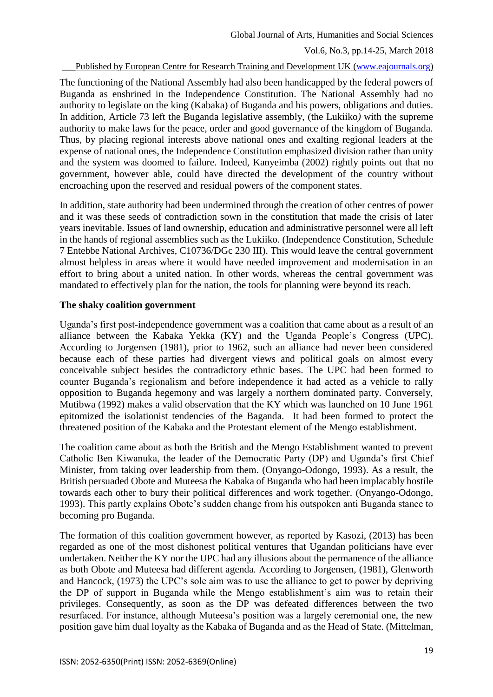### Published by European Centre for Research Training and Development UK [\(www.eajournals.org\)](http://www.eajournals.org/)

The functioning of the National Assembly had also been handicapped by the federal powers of Buganda as enshrined in the Independence Constitution. The National Assembly had no authority to legislate on the king (Kabaka) of Buganda and his powers, obligations and duties. In addition, Article 73 left the Buganda legislative assembly, (the Lukiiko*)* with the supreme authority to make laws for the peace, order and good governance of the kingdom of Buganda. Thus, by placing regional interests above national ones and exalting regional leaders at the expense of national ones, the Independence Constitution emphasized division rather than unity and the system was doomed to failure. Indeed, Kanyeimba (2002) rightly points out that no government, however able, could have directed the development of the country without encroaching upon the reserved and residual powers of the component states.

In addition, state authority had been undermined through the creation of other centres of power and it was these seeds of contradiction sown in the constitution that made the crisis of later years inevitable. Issues of land ownership, education and administrative personnel were all left in the hands of regional assemblies such as the Lukiiko. (Independence Constitution, Schedule 7 Entebbe National Archives, C10736/DGc 230 III). This would leave the central government almost helpless in areas where it would have needed improvement and modernisation in an effort to bring about a united nation. In other words, whereas the central government was mandated to effectively plan for the nation, the tools for planning were beyond its reach.

# **The shaky coalition government**

Uganda's first post-independence government was a coalition that came about as a result of an alliance between the Kabaka Yekka (KY) and the Uganda People's Congress (UPC). According to Jorgensen (1981), prior to 1962, such an alliance had never been considered because each of these parties had divergent views and political goals on almost every conceivable subject besides the contradictory ethnic bases. The UPC had been formed to counter Buganda's regionalism and before independence it had acted as a vehicle to rally opposition to Buganda hegemony and was largely a northern dominated party. Conversely, Mutibwa (1992) makes a valid observation that the KY which was launched on 10 June 1961 epitomized the isolationist tendencies of the Baganda. It had been formed to protect the threatened position of the Kabaka and the Protestant element of the Mengo establishment.

The coalition came about as both the British and the Mengo Establishment wanted to prevent Catholic Ben Kiwanuka, the leader of the Democratic Party (DP) and Uganda's first Chief Minister, from taking over leadership from them. (Onyango-Odongo, 1993). As a result, the British persuaded Obote and Muteesa the Kabaka of Buganda who had been implacably hostile towards each other to bury their political differences and work together. (Onyango-Odongo, 1993). This partly explains Obote's sudden change from his outspoken anti Buganda stance to becoming pro Buganda.

The formation of this coalition government however, as reported by Kasozi, (2013) has been regarded as one of the most dishonest political ventures that Ugandan politicians have ever undertaken. Neither the KY nor the UPC had any illusions about the permanence of the alliance as both Obote and Muteesa had different agenda. According to Jorgensen, (1981), Glenworth and Hancock, (1973) the UPC's sole aim was to use the alliance to get to power by depriving the DP of support in Buganda while the Mengo establishment's aim was to retain their privileges. Consequently, as soon as the DP was defeated differences between the two resurfaced. For instance, although Muteesa's position was a largely ceremonial one, the new position gave him dual loyalty as the Kabaka of Buganda and as the Head of State. (Mittelman,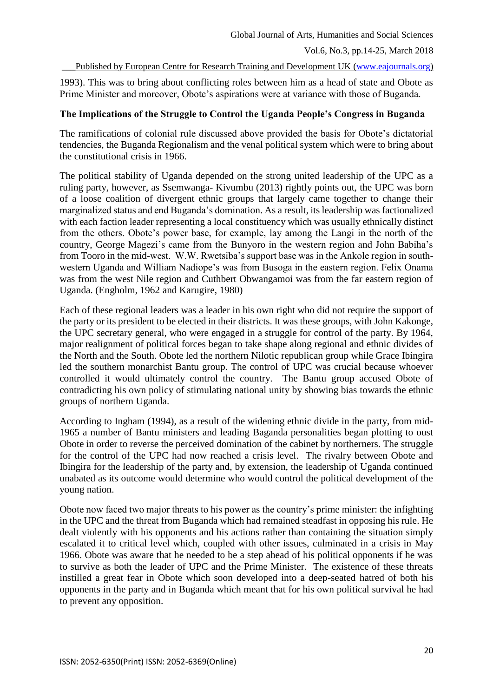1993). This was to bring about conflicting roles between him as a head of state and Obote as Prime Minister and moreover, Obote's aspirations were at variance with those of Buganda.

# **The Implications of the Struggle to Control the Uganda People's Congress in Buganda**

The ramifications of colonial rule discussed above provided the basis for Obote's dictatorial tendencies, the Buganda Regionalism and the venal political system which were to bring about the constitutional crisis in 1966.

The political stability of Uganda depended on the strong united leadership of the UPC as a ruling party, however, as Ssemwanga- Kivumbu (2013) rightly points out, the UPC was born of a loose coalition of divergent ethnic groups that largely came together to change their marginalized status and end Buganda's domination. As a result, its leadership was factionalized with each faction leader representing a local constituency which was usually ethnically distinct from the others. Obote's power base, for example, lay among the Langi in the north of the country, George Magezi's came from the Bunyoro in the western region and John Babiha's from Tooro in the mid-west. W.W. Rwetsiba's support base was in the Ankole region in southwestern Uganda and William Nadiope's was from Busoga in the eastern region. Felix Onama was from the west Nile region and Cuthbert Obwangamoi was from the far eastern region of Uganda. (Engholm, 1962 and Karugire, 1980)

Each of these regional leaders was a leader in his own right who did not require the support of the party or its president to be elected in their districts. It was these groups, with John Kakonge, the UPC secretary general, who were engaged in a struggle for control of the party. By 1964, major realignment of political forces began to take shape along regional and ethnic divides of the North and the South. Obote led the northern Nilotic republican group while Grace Ibingira led the southern monarchist Bantu group. The control of UPC was crucial because whoever controlled it would ultimately control the country. The Bantu group accused Obote of contradicting his own policy of stimulating national unity by showing bias towards the ethnic groups of northern Uganda.

According to Ingham (1994), as a result of the widening ethnic divide in the party, from mid-1965 a number of Bantu ministers and leading Baganda personalities began plotting to oust Obote in order to reverse the perceived domination of the cabinet by northerners. The struggle for the control of the UPC had now reached a crisis level. The rivalry between Obote and Ibingira for the leadership of the party and, by extension, the leadership of Uganda continued unabated as its outcome would determine who would control the political development of the young nation.

Obote now faced two major threats to his power as the country's prime minister: the infighting in the UPC and the threat from Buganda which had remained steadfast in opposing his rule. He dealt violently with his opponents and his actions rather than containing the situation simply escalated it to critical level which, coupled with other issues, culminated in a crisis in May 1966. Obote was aware that he needed to be a step ahead of his political opponents if he was to survive as both the leader of UPC and the Prime Minister. The existence of these threats instilled a great fear in Obote which soon developed into a deep-seated hatred of both his opponents in the party and in Buganda which meant that for his own political survival he had to prevent any opposition.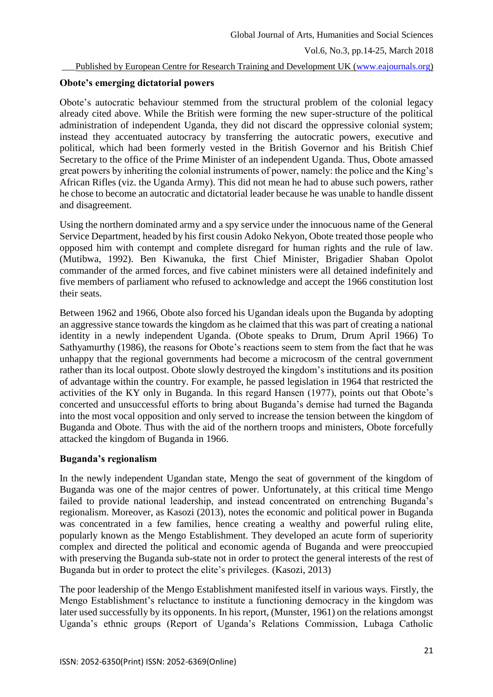#### Published by European Centre for Research Training and Development UK [\(www.eajournals.org\)](http://www.eajournals.org/)

## **Obote's emerging dictatorial powers**

Obote's autocratic behaviour stemmed from the structural problem of the colonial legacy already cited above. While the British were forming the new super-structure of the political administration of independent Uganda, they did not discard the oppressive colonial system; instead they accentuated autocracy by transferring the autocratic powers, executive and political, which had been formerly vested in the British Governor and his British Chief Secretary to the office of the Prime Minister of an independent Uganda. Thus, Obote amassed great powers by inheriting the colonial instruments of power, namely: the police and the King's African Rifles (viz. the Uganda Army). This did not mean he had to abuse such powers, rather he chose to become an autocratic and dictatorial leader because he was unable to handle dissent and disagreement.

Using the northern dominated army and a spy service under the innocuous name of the General Service Department, headed by his first cousin Adoko Nekyon, Obote treated those people who opposed him with contempt and complete disregard for human rights and the rule of law. (Mutibwa, 1992). Ben Kiwanuka, the first Chief Minister, Brigadier Shaban Opolot commander of the armed forces, and five cabinet ministers were all detained indefinitely and five members of parliament who refused to acknowledge and accept the 1966 constitution lost their seats.

Between 1962 and 1966, Obote also forced his Ugandan ideals upon the Buganda by adopting an aggressive stance towards the kingdom as he claimed that this was part of creating a national identity in a newly independent Uganda. (Obote speaks to Drum, Drum April 1966) To Sathyamurthy (1986), the reasons for Obote's reactions seem to stem from the fact that he was unhappy that the regional governments had become a microcosm of the central government rather than its local outpost. Obote slowly destroyed the kingdom's institutions and its position of advantage within the country. For example, he passed legislation in 1964 that restricted the activities of the KY only in Buganda. In this regard Hansen (1977), points out that Obote's concerted and unsuccessful efforts to bring about Buganda's demise had turned the Baganda into the most vocal opposition and only served to increase the tension between the kingdom of Buganda and Obote. Thus with the aid of the northern troops and ministers, Obote forcefully attacked the kingdom of Buganda in 1966.

# **Buganda's regionalism**

In the newly independent Ugandan state, Mengo the seat of government of the kingdom of Buganda was one of the major centres of power. Unfortunately, at this critical time Mengo failed to provide national leadership, and instead concentrated on entrenching Buganda's regionalism. Moreover, as Kasozi (2013), notes the economic and political power in Buganda was concentrated in a few families, hence creating a wealthy and powerful ruling elite, popularly known as the Mengo Establishment. They developed an acute form of superiority complex and directed the political and economic agenda of Buganda and were preoccupied with preserving the Buganda sub-state not in order to protect the general interests of the rest of Buganda but in order to protect the elite's privileges. (Kasozi, 2013)

The poor leadership of the Mengo Establishment manifested itself in various ways. Firstly, the Mengo Establishment's reluctance to institute a functioning democracy in the kingdom was later used successfully by its opponents. In his report, (Munster, 1961) on the relations amongst Uganda's ethnic groups (Report of Uganda's Relations Commission, Lubaga Catholic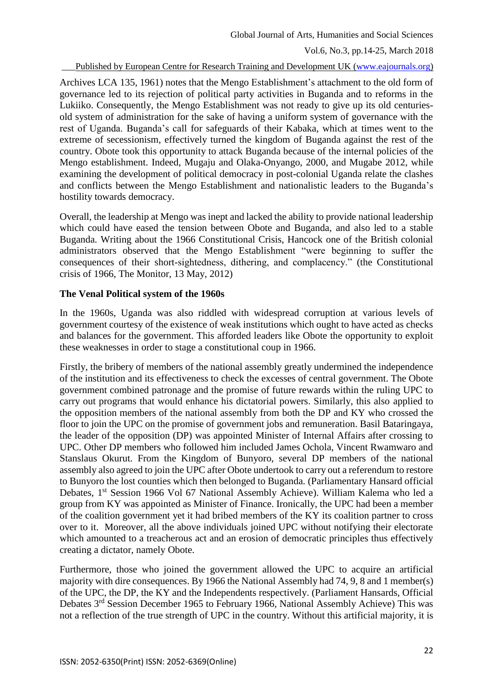#### Published by European Centre for Research Training and Development UK [\(www.eajournals.org\)](http://www.eajournals.org/)

Archives LCA 135, 1961) notes that the Mengo Establishment's attachment to the old form of governance led to its rejection of political party activities in Buganda and to reforms in the Lukiiko. Consequently, the Mengo Establishment was not ready to give up its old centuriesold system of administration for the sake of having a uniform system of governance with the rest of Uganda. Buganda's call for safeguards of their Kabaka, which at times went to the extreme of secessionism, effectively turned the kingdom of Buganda against the rest of the country. Obote took this opportunity to attack Buganda because of the internal policies of the Mengo establishment. Indeed, Mugaju and Olaka-Onyango, 2000, and Mugabe 2012, while examining the development of political democracy in post-colonial Uganda relate the clashes and conflicts between the Mengo Establishment and nationalistic leaders to the Buganda's hostility towards democracy.

Overall, the leadership at Mengo was inept and lacked the ability to provide national leadership which could have eased the tension between Obote and Buganda, and also led to a stable Buganda. Writing about the 1966 Constitutional Crisis, Hancock one of the British colonial administrators observed that the Mengo Establishment "were beginning to suffer the consequences of their short-sightedness, dithering, and complacency." (the Constitutional crisis of 1966, The Monitor, 13 May, 2012)

# **The Venal Political system of the 1960s**

In the 1960s, Uganda was also riddled with widespread corruption at various levels of government courtesy of the existence of weak institutions which ought to have acted as checks and balances for the government. This afforded leaders like Obote the opportunity to exploit these weaknesses in order to stage a constitutional coup in 1966.

Firstly, the bribery of members of the national assembly greatly undermined the independence of the institution and its effectiveness to check the excesses of central government. The Obote government combined patronage and the promise of future rewards within the ruling UPC to carry out programs that would enhance his dictatorial powers. Similarly, this also applied to the opposition members of the national assembly from both the DP and KY who crossed the floor to join the UPC on the promise of government jobs and remuneration. Basil Bataringaya, the leader of the opposition (DP) was appointed Minister of Internal Affairs after crossing to UPC. Other DP members who followed him included James Ochola, Vincent Rwamwaro and Stanslaus Okurut. From the Kingdom of Bunyoro, several DP members of the national assembly also agreed to join the UPC after Obote undertook to carry out a referendum to restore to Bunyoro the lost counties which then belonged to Buganda. (Parliamentary Hansard official Debates, 1<sup>st</sup> Session 1966 Vol 67 National Assembly Achieve). William Kalema who led a group from KY was appointed as Minister of Finance. Ironically, the UPC had been a member of the coalition government yet it had bribed members of the KY its coalition partner to cross over to it. Moreover, all the above individuals joined UPC without notifying their electorate which amounted to a treacherous act and an erosion of democratic principles thus effectively creating a dictator, namely Obote.

Furthermore, those who joined the government allowed the UPC to acquire an artificial majority with dire consequences. By 1966 the National Assembly had 74, 9, 8 and 1 member(s) of the UPC, the DP, the KY and the Independents respectively. (Parliament Hansards, Official Debates 3<sup>rd</sup> Session December 1965 to February 1966, National Assembly Achieve) This was not a reflection of the true strength of UPC in the country. Without this artificial majority, it is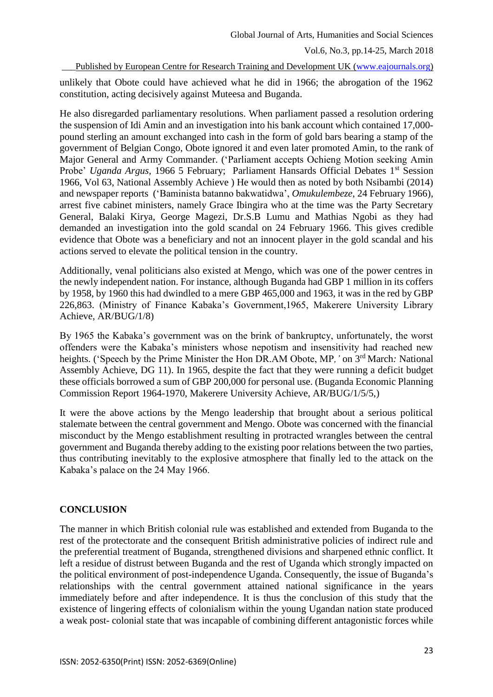Global Journal of Arts, Humanities and Social Sciences

Vol.6, No.3, pp.14-25, March 2018

Published by European Centre for Research Training and Development UK [\(www.eajournals.org\)](http://www.eajournals.org/)

unlikely that Obote could have achieved what he did in 1966; the abrogation of the 1962 constitution, acting decisively against Muteesa and Buganda.

He also disregarded parliamentary resolutions. When parliament passed a resolution ordering the suspension of Idi Amin and an investigation into his bank account which contained 17,000 pound sterling an amount exchanged into cash in the form of gold bars bearing a stamp of the government of Belgian Congo, Obote ignored it and even later promoted Amin, to the rank of Major General and Army Commander. ('Parliament accepts Ochieng Motion seeking Amin Probe' *Uganda Argus*, 1966 5 February; Parliament Hansards Official Debates 1<sup>st</sup> Session 1966, Vol 63, National Assembly Achieve ) He would then as noted by both Nsibambi (2014) and newspaper reports ('Baminista batanno bakwatidwa', *Omukulembeze*, 24 February 1966), arrest five cabinet ministers, namely Grace Ibingira who at the time was the Party Secretary General, Balaki Kirya, George Magezi, Dr.S.B Lumu and Mathias Ngobi as they had demanded an investigation into the gold scandal on 24 February 1966. This gives credible evidence that Obote was a beneficiary and not an innocent player in the gold scandal and his actions served to elevate the political tension in the country.

Additionally, venal politicians also existed at Mengo, which was one of the power centres in the newly independent nation. For instance, although Buganda had GBP 1 million in its coffers by 1958, by 1960 this had dwindled to a mere GBP 465,000 and 1963, it was in the red by GBP 226,863. (Ministry of Finance Kabaka's Government,1965, Makerere University Library Achieve, AR/BUG/1/8)

By 1965 the Kabaka's government was on the brink of bankruptcy, unfortunately, the worst offenders were the Kabaka's ministers whose nepotism and insensitivity had reached new heights. ('Speech by the Prime Minister the Hon DR.AM Obote, MP*,'* on 3rd March*:* National Assembly Achieve, DG 11). In 1965, despite the fact that they were running a deficit budget these officials borrowed a sum of GBP 200,000 for personal use. (Buganda Economic Planning Commission Report 1964-1970, Makerere University Achieve, AR/BUG/1/5/5,)

It were the above actions by the Mengo leadership that brought about a serious political stalemate between the central government and Mengo. Obote was concerned with the financial misconduct by the Mengo establishment resulting in protracted wrangles between the central government and Buganda thereby adding to the existing poor relations between the two parties, thus contributing inevitably to the explosive atmosphere that finally led to the attack on the Kabaka's palace on the 24 May 1966.

# **CONCLUSION**

The manner in which British colonial rule was established and extended from Buganda to the rest of the protectorate and the consequent British administrative policies of indirect rule and the preferential treatment of Buganda, strengthened divisions and sharpened ethnic conflict. It left a residue of distrust between Buganda and the rest of Uganda which strongly impacted on the political environment of post-independence Uganda. Consequently, the issue of Buganda's relationships with the central government attained national significance in the years immediately before and after independence. It is thus the conclusion of this study that the existence of lingering effects of colonialism within the young Ugandan nation state produced a weak post- colonial state that was incapable of combining different antagonistic forces while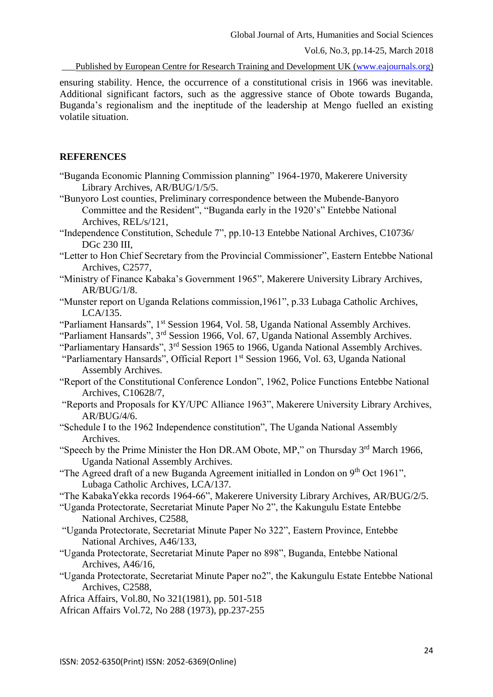ensuring stability. Hence, the occurrence of a constitutional crisis in 1966 was inevitable. Additional significant factors, such as the aggressive stance of Obote towards Buganda, Buganda's regionalism and the ineptitude of the leadership at Mengo fuelled an existing volatile situation.

### **REFERENCES**

- "Buganda Economic Planning Commission planning" 1964-1970, Makerere University Library Archives, AR/BUG/1/5/5.
- "Bunyoro Lost counties, Preliminary correspondence between the Mubende-Banyoro Committee and the Resident", "Buganda early in the 1920's" Entebbe National Archives, REL/s/121,
- "Independence Constitution, Schedule 7", pp.10-13 Entebbe National Archives, C10736/ DGc 230 III,
- "Letter to Hon Chief Secretary from the Provincial Commissioner", Eastern Entebbe National Archives, C2577,
- "Ministry of Finance Kabaka's Government 1965", Makerere University Library Archives, AR/BUG/1/8.
- "Munster report on Uganda Relations commission*,*1961", p.33 Lubaga Catholic Archives, LCA/135.
- "Parliament Hansards", 1<sup>st</sup> Session 1964, Vol. 58, Uganda National Assembly Archives.
- "Parliament Hansards", 3rd Session 1966, Vol. 67, Uganda National Assembly Archives.
- "Parliamentary Hansards", 3rd Session 1965 to 1966, Uganda National Assembly Archives.
- "Parliamentary Hansards", Official Report 1st Session 1966, Vol. 63, Uganda National Assembly Archives.
- "Report of the Constitutional Conference London", 1962, Police Functions Entebbe National Archives, C10628/7,
- "Reports and Proposals for KY/UPC Alliance 1963", Makerere University Library Archives, AR/BUG/4/6.
- "Schedule I to the 1962 Independence constitution", The Uganda National Assembly Archives.
- "Speech by the Prime Minister the Hon DR.AM Obote, MP," on Thursday  $3<sup>rd</sup>$  March 1966, Uganda National Assembly Archives.
- "The Agreed draft of a new Buganda Agreement initialled in London on  $9<sup>th</sup>$  Oct 1961", Lubaga Catholic Archives, LCA/137.
- "The KabakaYekka records 1964-66", Makerere University Library Archives, AR/BUG/2/5.
- "Uganda Protectorate, Secretariat Minute Paper No 2", the Kakungulu Estate Entebbe National Archives, C2588,
- "Uganda Protectorate, Secretariat Minute Paper No 322", Eastern Province, Entebbe National Archives, A46/133,
- "Uganda Protectorate, Secretariat Minute Paper no 898", Buganda, Entebbe National Archives, A46/16,
- "Uganda Protectorate, Secretariat Minute Paper no2", the Kakungulu Estate Entebbe National Archives, C2588,
- Africa Affairs, Vol.80, No 321(1981), pp. 501-518
- African Affairs Vol.72, No 288 (1973), pp.237-255